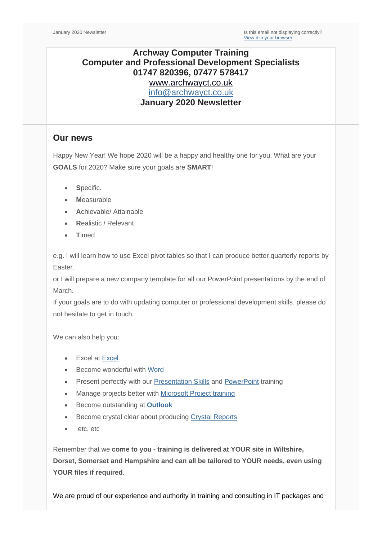# **Archway Computer Training Computer and Professional Development Specialists 01747 820396, 07477 578417** [www.archwayct.co.uk](http://www.archwayct.co.uk/) [info@archwayct.co.uk](mailto:%20info@archwayct.co.uk) **January 2020 Newsletter**

### **Our news**

Happy New Year! We hope 2020 will be a happy and healthy one for you. What are your **GOALS** for 2020? Make sure your goals are **SMART**!

- Specific.
- **M**easurable
- **A**chievable/ Attainable
- **R**ealistic / Relevant
- **T**imed

e.g. I will learn how to use Excel pivot tables so that I can produce better quarterly reports by Easter.

or I will prepare a new company template for all our PowerPoint presentations by the end of March.

If your goals are to do with updating computer or professional development skills. please do not hesitate to get in touch.

We can also help you:

- **Excel at [Excel](https://www.archwayct.co.uk/microsoft-office-training/microsoft-excel-training)**
- Become wonderful with [Word](https://www.archwayct.co.uk/microsoft-office-training/microsoft-word-training)
- Present perfectly with our [Presentation Skills](https://www.archwayct.co.uk/professional-development-training/presentation-skills-training) and [PowerPoint](https://www.archwayct.co.uk/microsoft-office-training/microsoft-powerpoint-training) training
- Manage projects better with [Microsoft Project training](https://www.archwayct.co.uk/it-training/microsoft-project-training)
- Become outstanding at **[Outlook](http://www.archwayct.co.uk/microsoft-office-training/microsoft-outlook-training)**
- Become crystal clear about producing [Crystal Reports](http://www.archwayct.co.uk/it-training/crystal-reports-training)
- etc. etc

Remember that we **come to you - training is delivered at YOUR site in Wiltshire, Dorset, Somerset and Hampshire and can all be tailored to YOUR needs, even using YOUR files if required**.

We are proud of our experience and authority in training and consulting in IT packages and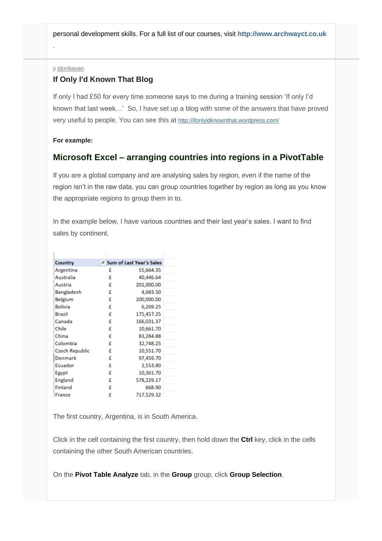personal development skills. For a full list of our courses, visit **[http://www.archwayct.co.uk](http://www.archwayct.co.uk/)**

#### y [jdonbavan](https://ifonlyidknownthat.wordpress.com/author/jdonbavand/)

.

### **If Only I'd Known That Blog**

If only I had £50 for every time someone says to me during a training session 'If only I'd known that last week…' So, I have set up a blog with some of the answers that have proved very useful to people. You can see this at <http://ifonlyidknownthat.wordpress.com/>

#### **For example:**

## **Microsoft Excel – arranging countries into regions in a PivotTable**

If you are a global company and are analysing sales by region, even if the name of the region isn't in the raw data, you can group countries together by region as long as you know the appropriate regions to group them in to.

In the example below, I have various countries and their last year's sales. I want to find sales by continent.

| Country        |   | <b>T Sum of Last Year's Sales</b> |  |  |
|----------------|---|-----------------------------------|--|--|
| Argentina      | £ | 55,664.35                         |  |  |
| Australia      | £ | 40,446.64                         |  |  |
| Austria        | £ | 201,000.00                        |  |  |
| Bangladesh     | £ | 4,683.50                          |  |  |
| Belgium        | £ | 200,000.00                        |  |  |
| <b>Bolivia</b> | £ | 6,269.25                          |  |  |
| <b>Brazil</b>  | £ | 175,457.25                        |  |  |
| Canada         | £ | 166,031.37                        |  |  |
| Chile          | £ | 10,661.70                         |  |  |
| China          | £ | 83,284.88                         |  |  |
| Colombia       | £ | 32,748.25                         |  |  |
| Czech Republic | £ | 10,551.70                         |  |  |
| Denmark        | £ | 97,459.70                         |  |  |
| Ecuador        | £ | 2,553.80                          |  |  |
| Egypt          | £ | 10,361.70                         |  |  |
| England        | £ | 578,229.17                        |  |  |
| Finland        | £ | 668.90                            |  |  |
| France         | £ | 717,529.32                        |  |  |

The first country, Argentina, is in South America.

Click in the cell containing the first country, then hold down the **Ctrl** key, click in the cells containing the other South American countries.

On the **Pivot Table Analyze** tab, in the **Group** group, click **Group Selection**.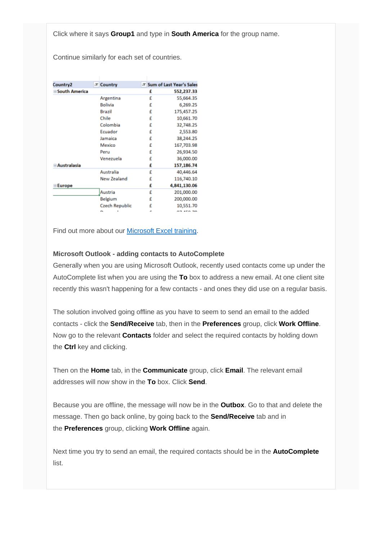Click where it says **Group1** and type in **South America** for the group name.

Continue similarly for each set of countries.

| Country2             | <b>T Country</b>      |   | <b>T Sum of Last Year's Sales</b> |
|----------------------|-----------------------|---|-----------------------------------|
| <b>South America</b> |                       | £ | 552,237.33                        |
|                      | Argentina             | £ | 55,664.35                         |
|                      | <b>Bolivia</b>        | £ | 6,269.25                          |
|                      | <b>Brazil</b>         | £ | 175,457.25                        |
|                      | Chile                 | £ | 10,661.70                         |
|                      | Colombia              | £ | 32,748.25                         |
|                      | Ecuador               | £ | 2,553.80                          |
|                      | Jamaica               | £ | 38,244.25                         |
|                      | Mexico                | £ | 167,703.98                        |
|                      | Peru                  | £ | 26,934.50                         |
|                      | Venezuela             | £ | 36,000.00                         |
| <b>Australasia</b>   |                       | £ | 157,186.74                        |
|                      | Australia             | £ | 40,446.64                         |
|                      | New Zealand           | £ | 116,740.10                        |
| <b>Europe</b>        |                       | £ | 4,841,130.06                      |
|                      | Austria               | € | 201,000.00                        |
|                      | Belgium               | £ | 200,000.00                        |
|                      | <b>Czech Republic</b> | £ | 10,551.70                         |
|                      |                       |   |                                   |

Find out more about our [Microsoft Excel training.](http://www.archwayct.co.uk/microsoft-office-training/microsoft-excel-training)

#### **Microsoft Outlook - adding contacts to AutoComplete**

Generally when you are using Microsoft Outlook, recently used contacts come up under the AutoComplete list when you are using the **To** box to address a new email. At one client site recently this wasn't happening for a few contacts - and ones they did use on a regular basis.

The solution involved going offline as you have to seem to send an email to the added contacts - click the **Send/Receive** tab, then in the **Preferences** group, click **Work Offline**. Now go to the relevant **Contacts** folder and select the required contacts by holding down the **Ctrl** key and clicking.

Then on the **Home** tab, in the **Communicate** group, click **Email**. The relevant email addresses will now show in the **To** box. Click **Send**.

Because you are offline, the message will now be in the **Outbox**. Go to that and delete the message. Then go back online, by going back to the **Send/Receive** tab and in the **Preferences** group, clicking **Work Offline** again.

Next time you try to send an email, the required contacts should be in the **AutoComplete** list.